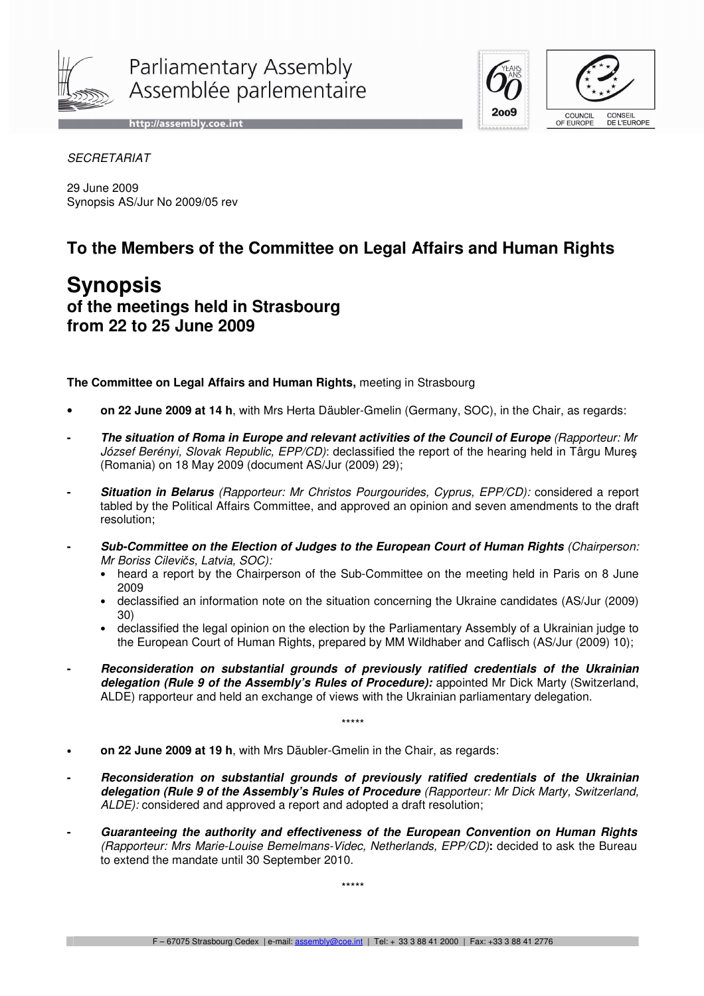

Parliamentary Assembly Assemblée parlementaire

http://assembly.coe.int





**SECRETARIAT** 

29 June 2009 Synopsis AS/Jur No 2009/05 rev

## **To the Members of the Committee on Legal Affairs and Human Rights**

## **Synopsis of the meetings held in Strasbourg from 22 to 25 June 2009**

**The Committee on Legal Affairs and Human Rights,** meeting in Strasbourg

- **on 22 June 2009 at 14 h**, with Mrs Herta Däubler-Gmelin (Germany, SOC), in the Chair, as regards:
- **- The situation of Roma in Europe and relevant activities of the Council of Europe** (Rapporteur: Mr József Berényi, Slovak Republic, EPP/CD): declassified the report of the hearing held in Târgu Mures (Romania) on 18 May 2009 (document AS/Jur (2009) 29);
- **Situation in Belarus** (Rapporteur: Mr Christos Pourgourides, Cyprus, EPP/CD): considered a report tabled by the Political Affairs Committee, and approved an opinion and seven amendments to the draft resolution;
- **Sub-Committee on the Election of Judges to the European Court of Human Rights** (Chairperson: Mr Boriss Cilevičs, Latvia, SOC):
	- heard a report by the Chairperson of the Sub-Committee on the meeting held in Paris on 8 June 2009
	- declassified an information note on the situation concerning the Ukraine candidates (AS/Jur (2009) 30)
	- declassified the legal opinion on the election by the Parliamentary Assembly of a Ukrainian judge to the European Court of Human Rights, prepared by MM Wildhaber and Caflisch (AS/Jur (2009) 10);
- **- Reconsideration on substantial grounds of previously ratified credentials of the Ukrainian delegation (Rule 9 of the Assembly's Rules of Procedure):** appointed Mr Dick Marty (Switzerland, ALDE) rapporteur and held an exchange of views with the Ukrainian parliamentary delegation.

\*\*\*\*\*

- **on 22 June 2009 at 19 h**, with Mrs Däubler-Gmelin in the Chair, as regards:
- **- Reconsideration on substantial grounds of previously ratified credentials of the Ukrainian delegation (Rule 9 of the Assembly's Rules of Procedure** (Rapporteur: Mr Dick Marty, Switzerland, ALDE): considered and approved a report and adopted a draft resolution;
- **- Guaranteeing the authority and effectiveness of the European Convention on Human Rights** (Rapporteur: Mrs Marie-Louise Bemelmans-Videc, Netherlands, EPP/CD)**:** decided to ask the Bureau to extend the mandate until 30 September 2010.

\*\*\*\*\*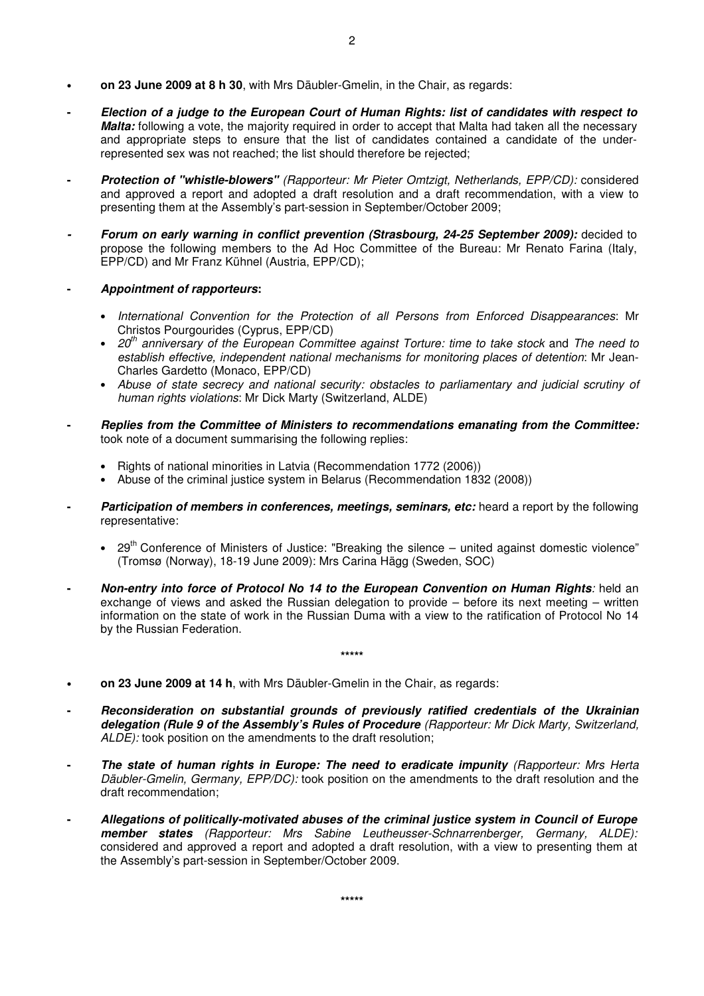- **on 23 June 2009 at 8 h 30**, with Mrs Däubler-Gmelin, in the Chair, as regards:
- **- Election of a judge to the European Court of Human Rights: list of candidates with respect to Malta:** following a vote, the majority required in order to accept that Malta had taken all the necessary and appropriate steps to ensure that the list of candidates contained a candidate of the underrepresented sex was not reached; the list should therefore be rejected;
- **Protection of "whistle-blowers"** (Rapporteur: Mr Pieter Omtzigt, Netherlands, EPP/CD): considered and approved a report and adopted a draft resolution and a draft recommendation, with a view to presenting them at the Assembly's part-session in September/October 2009;
- **Forum on early warning in conflict prevention (Strasbourg, 24-25 September 2009):** decided to propose the following members to the Ad Hoc Committee of the Bureau: Mr Renato Farina (Italy, EPP/CD) and Mr Franz Kühnel (Austria, EPP/CD);
- **Appointment of rapporteurs:** 
	- International Convention for the Protection of all Persons from Enforced Disappearances: Mr Christos Pourgourides (Cyprus, EPP/CD)
	- 20<sup>th</sup> anniversary of the European Committee against Torture: time to take stock and The need to establish effective, independent national mechanisms for monitoring places of detention: Mr Jean-Charles Gardetto (Monaco, EPP/CD)
	- Abuse of state secrecy and national security: obstacles to parliamentary and judicial scrutiny of human rights violations: Mr Dick Marty (Switzerland, ALDE)
- **- Replies from the Committee of Ministers to recommendations emanating from the Committee:** took note of a document summarising the following replies:
	- Rights of national minorities in Latvia (Recommendation 1772 (2006))
	- Abuse of the criminal justice system in Belarus (Recommendation 1832 (2008))
- **Participation of members in conferences, meetings, seminars, etc:** heard a report by the following representative:
	- 29<sup>th</sup> Conference of Ministers of Justice: "Breaking the silence united against domestic violence" (Tromsø (Norway), 18-19 June 2009): Mrs Carina Hägg (Sweden, SOC)
- **- Non-entry into force of Protocol No 14 to the European Convention on Human Rights**: held an exchange of views and asked the Russian delegation to provide – before its next meeting – written information on the state of work in the Russian Duma with a view to the ratification of Protocol No 14 by the Russian Federation.

**\*\*\*\*\*** 

- **on 23 June 2009 at 14 h**, with Mrs Däubler-Gmelin in the Chair, as regards:
- **- Reconsideration on substantial grounds of previously ratified credentials of the Ukrainian delegation (Rule 9 of the Assembly's Rules of Procedure** (Rapporteur: Mr Dick Marty, Switzerland, ALDE): took position on the amendments to the draft resolution;
- **The state of human rights in Europe: The need to eradicate impunity** (Rapporteur: Mrs Herta Däubler-Gmelin, Germany, EPP/DC): took position on the amendments to the draft resolution and the draft recommendation;
- **Allegations of politically-motivated abuses of the criminal justice system in Council of Europe member states** (Rapporteur: Mrs Sabine Leutheusser-Schnarrenberger, Germany, ALDE): considered and approved a report and adopted a draft resolution, with a view to presenting them at the Assembly's part-session in September/October 2009.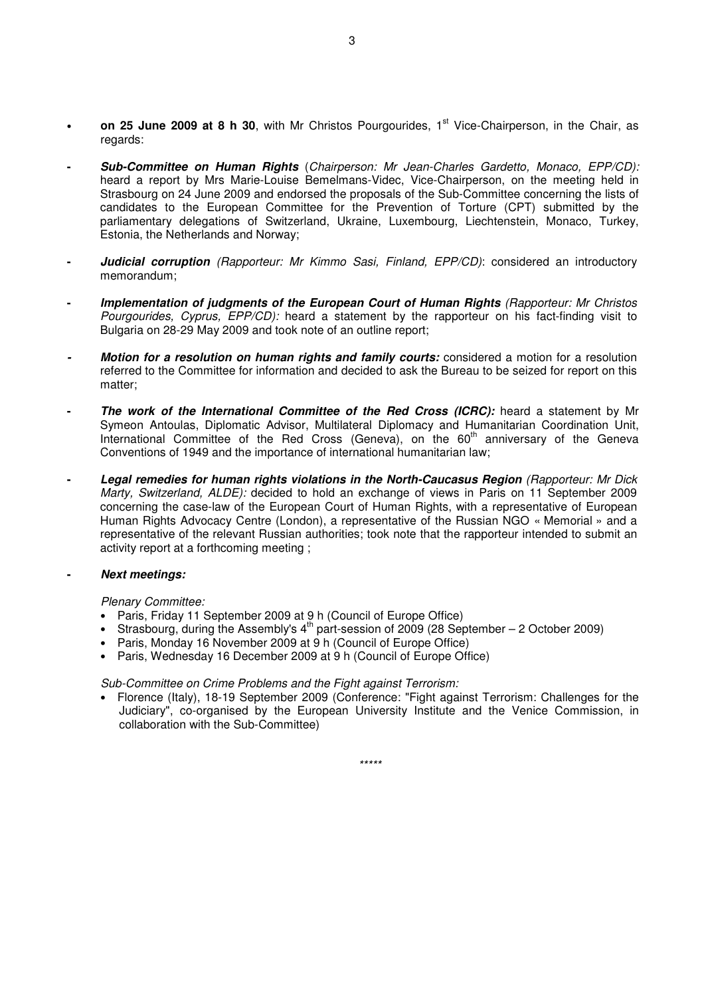- on 25 June 2009 at 8 h 30, with Mr Christos Pourgourides, 1<sup>st</sup> Vice-Chairperson, in the Chair, as regards:
- **Sub-Committee on Human Rights** (Chairperson: Mr Jean-Charles Gardetto, Monaco, EPP/CD): heard a report by Mrs Marie-Louise Bemelmans-Videc, Vice-Chairperson, on the meeting held in Strasbourg on 24 June 2009 and endorsed the proposals of the Sub-Committee concerning the lists of candidates to the European Committee for the Prevention of Torture (CPT) submitted by the parliamentary delegations of Switzerland, Ukraine, Luxembourg, Liechtenstein, Monaco, Turkey, Estonia, the Netherlands and Norway;
- **Judicial corruption** (Rapporteur: Mr Kimmo Sasi, Finland, EPP/CD): considered an introductory memorandum;
- **- Implementation of judgments of the European Court of Human Rights** (Rapporteur: Mr Christos Pourgourides, Cyprus, EPP/CD): heard a statement by the rapporteur on his fact-finding visit to Bulgaria on 28-29 May 2009 and took note of an outline report;
- **Motion for a resolution on human rights and family courts:** considered a motion for a resolution referred to the Committee for information and decided to ask the Bureau to be seized for report on this matter;
- **The work of the International Committee of the Red Cross (ICRC): heard a statement by Mr** Symeon Antoulas, Diplomatic Advisor, Multilateral Diplomacy and Humanitarian Coordination Unit, International Committee of the Red Cross (Geneva), on the 60<sup>th</sup> anniversary of the Geneva Conventions of 1949 and the importance of international humanitarian law;
- **- Legal remedies for human rights violations in the North-Caucasus Region** (Rapporteur: Mr Dick Marty, Switzerland, ALDE): decided to hold an exchange of views in Paris on 11 September 2009 concerning the case-law of the European Court of Human Rights, with a representative of European Human Rights Advocacy Centre (London), a representative of the Russian NGO « Memorial » and a representative of the relevant Russian authorities; took note that the rapporteur intended to submit an activity report at a forthcoming meeting ;

## **- Next meetings:**

Plenary Committee:

- Paris, Friday 11 September 2009 at 9 h (Council of Europe Office)
- Strasbourg, during the Assembly's  $4^{th}$  part-session of 2009 (28 September 2 October 2009)
- Paris, Monday 16 November 2009 at 9 h (Council of Europe Office)
- Paris, Wednesday 16 December 2009 at 9 h (Council of Europe Office)

Sub-Committee on Crime Problems and the Fight against Terrorism:

• Florence (Italy), 18-19 September 2009 (Conference: "Fight against Terrorism: Challenges for the Judiciary", co-organised by the European University Institute and the Venice Commission, in collaboration with the Sub-Committee)

\*\*\*\*\*